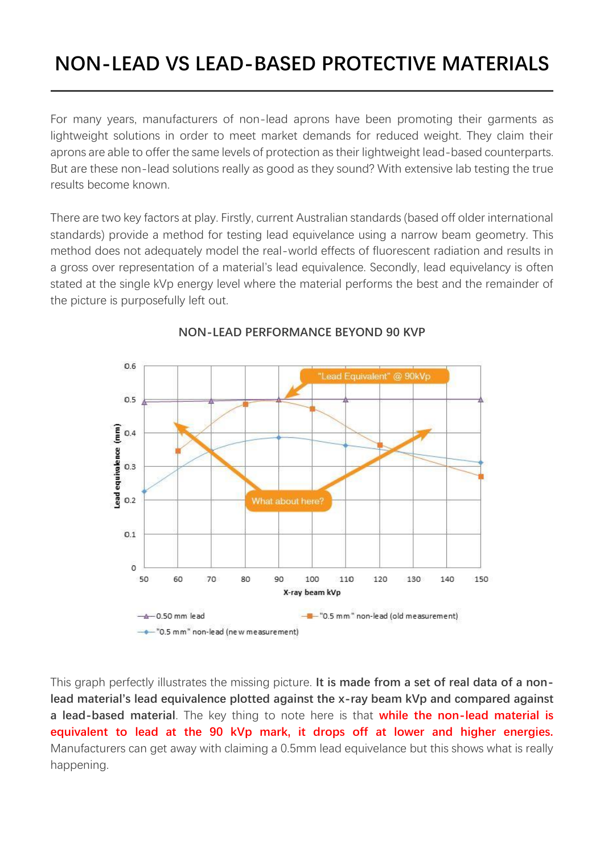## **NON-LEAD VS LEAD-BASED PROTECTIVE MATERIALS**

For many years, manufacturers of non-lead aprons have been promoting their garments as lightweight solutions in order to meet market demands for reduced weight. They claim their aprons are able to offer the same levels of protection as their lightweight lead-based counterparts. But are these non-lead solutions really as good as they sound? With extensive lab testing the true results become known.

There are two key factors at play. Firstly, current Australian standards (based off older international standards) provide a method for testing lead equivelance using a narrow beam geometry. This method does not adequately model the real-world effects of fluorescent radiation and results in a gross over representation of a material's lead equivalence. Secondly, lead equivelancy is often stated at the single kVp energy level where the material performs the best and the remainder of the picture is purposefully left out.



## **NON-LEAD PERFORMANCE BEYOND 90 KVP**

This graph perfectly illustrates the missing picture. **It is made from a set of real data of a nonlead material's lead equivalence plotted against the x-ray beam kVp and compared against a lead-based material**. The key thing to note here is that **while the non-lead material is equivalent to lead at the 90 kVp mark, it drops off at lower and higher energies.** Manufacturers can get away with claiming a 0.5mm lead equivelance but this shows what is really happening.